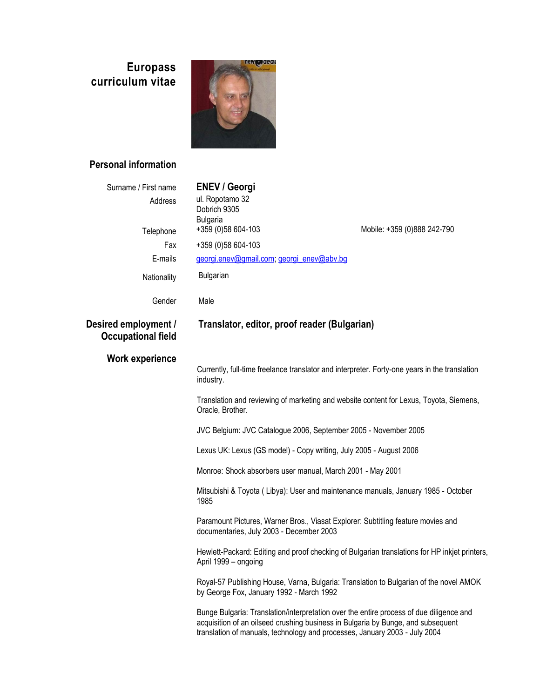# **Europass curriculum vitae**



# **Personal information**

| Surname / First name                              | <b>ENEV / Georgi</b>                                                                                                                                                                                                                                      |                             |
|---------------------------------------------------|-----------------------------------------------------------------------------------------------------------------------------------------------------------------------------------------------------------------------------------------------------------|-----------------------------|
| Address                                           | ul. Ropotamo 32<br>Dobrich 9305                                                                                                                                                                                                                           |                             |
| Telephone                                         | <b>Bulgaria</b><br>+359 (0)58 604-103                                                                                                                                                                                                                     | Mobile: +359 (0)888 242-790 |
| Fax                                               | +359 (0)58 604-103                                                                                                                                                                                                                                        |                             |
| E-mails                                           | georgi.enev@gmail.com; georgi_enev@abv.bg                                                                                                                                                                                                                 |                             |
| Nationality                                       | Bulgarian                                                                                                                                                                                                                                                 |                             |
| Gender                                            | Male                                                                                                                                                                                                                                                      |                             |
| Desired employment /<br><b>Occupational field</b> | Translator, editor, proof reader (Bulgarian)                                                                                                                                                                                                              |                             |
| <b>Work experience</b>                            |                                                                                                                                                                                                                                                           |                             |
|                                                   | Currently, full-time freelance translator and interpreter. Forty-one years in the translation<br>industry.                                                                                                                                                |                             |
|                                                   | Translation and reviewing of marketing and website content for Lexus, Toyota, Siemens,<br>Oracle, Brother.                                                                                                                                                |                             |
|                                                   | JVC Belgium: JVC Catalogue 2006, September 2005 - November 2005                                                                                                                                                                                           |                             |
|                                                   | Lexus UK: Lexus (GS model) - Copy writing, July 2005 - August 2006                                                                                                                                                                                        |                             |
|                                                   | Monroe: Shock absorbers user manual, March 2001 - May 2001                                                                                                                                                                                                |                             |
|                                                   | Mitsubishi & Toyota (Libya): User and maintenance manuals, January 1985 - October<br>1985                                                                                                                                                                 |                             |
|                                                   | Paramount Pictures, Warner Bros., Viasat Explorer: Subtitling feature movies and<br>documentaries, July 2003 - December 2003                                                                                                                              |                             |
|                                                   | Hewlett-Packard: Editing and proof checking of Bulgarian translations for HP inkjet printers,<br>April 1999 - ongoing                                                                                                                                     |                             |
|                                                   | Royal-57 Publishing House, Varna, Bulgaria: Translation to Bulgarian of the novel AMOK<br>by George Fox, January 1992 - March 1992                                                                                                                        |                             |
|                                                   | Bunge Bulgaria: Translation/interpretation over the entire process of due diligence and<br>acquisition of an oilseed crushing business in Bulgaria by Bunge, and subsequent<br>translation of manuals, technology and processes, January 2003 - July 2004 |                             |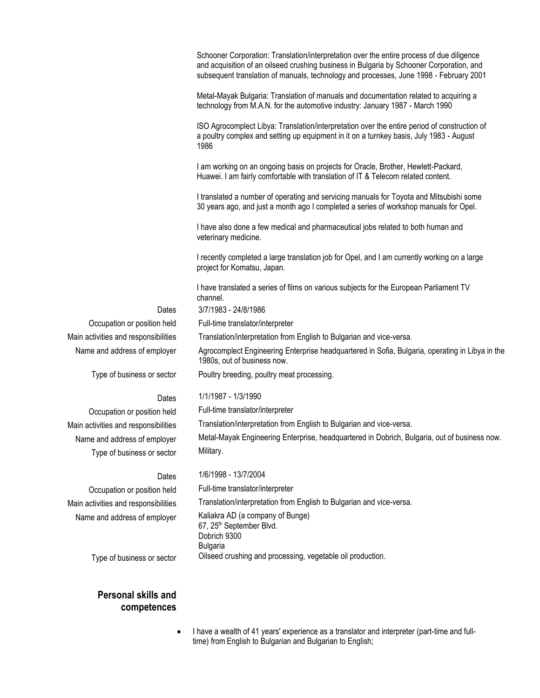Schooner Corporation: Translation/interpretation over the entire process of due diligence and acquisition of an oilseed crushing business in Bulgaria by Schooner Corporation, and subsequent translation of manuals, technology and processes, June 1998 - February 2001

Metal-Mayak Bulgaria: Translation of manuals and documentation related to acquiring a technology from M.A.N. for the automotive industry: January 1987 - March 1990

ISO Agrocomplect Libya: Translation/interpretation over the entire period of construction of a poultry complex and setting up equipment in it on a turnkey basis, July 1983 - August 1986

I am working on an ongoing basis on projects for Oracle, Brother, Hewlett-Packard, Huawei. I am fairly comfortable with translation of IT & Telecom related content.

I translated a number of operating and servicing manuals for Toyota and Mitsubishi some 30 years ago, and just a month ago I completed a series of workshop manuals for Opel.

I have also done a few medical and pharmaceutical jobs related to both human and veterinary medicine.

I recently completed a large translation job for Opel, and I am currently working on a large project for Komatsu, Japan.

I have translated a series of films on various subjects for the European Parliament TV channel.

Dates 3/7/1983 - 24/8/1986

Occupation or position held Full-time translator/interpreter

Main activities and responsibilities Translation/interpretation from English to Bulgarian and vice-versa.

Name and address of employer Agrocomplect Engineering Enterprise headquartered in Sofia, Bulgaria, operating in Libya in the 1980s, out of business now.

Type of business or sector Poultry breeding, poultry meat processing.

## Dates 1/1/1987 - 1/3/1990

Main activities and responsibilities Translation/interpretation from English to Bulgarian and vice-versa.

Name and address of employer Metal-Mayak Engineering Enterprise, headquartered in Dobrich, Bulgaria, out of business now.

## Dates 1/6/1998 - 13/7/2004

Main activities and responsibilities Translation/interpretation from English to Bulgarian and vice-versa.

Name and address of employer Kaliakra AD (a company of Bunge) 67, 25<sup>th</sup> September Blvd. Dobrich 9300 Bulgaria Type of business or sector Oilseed crushing and processing, vegetable oil production.

## **Personal skills and competences**

 I have a wealth of 41 years' experience as a translator and interpreter (part-time and fulltime) from English to Bulgarian and Bulgarian to English;

Occupation or position held Full-time translator/interpreter Type of business or sector Military.

Occupation or position held Full-time translator/interpreter